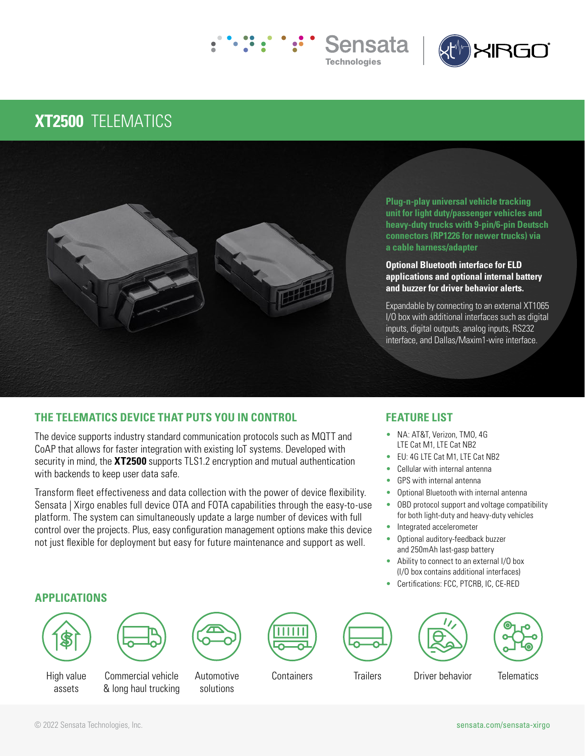



## **XT2500** TELEMATICS



**Plug-n-play universal vehicle tracking unit for light duty/passenger vehicles and heavy-duty trucks with 9-pin/6-pin Deutsch connectors (RP1226 for newer trucks) via a cable harness/adapter** 

#### **Optional Bluetooth interface for ELD applications and optional internal battery and buzzer for driver behavior alerts.**

Expandable by connecting to an external XT1065 I/O box with additional interfaces such as digital inputs, digital outputs, analog inputs, RS232 interface, and Dallas/Maxim1-wire interface.

### **THE TELEMATICS DEVICE THAT PUTS YOU IN CONTROL**

The device supports industry standard communication protocols such as MQTT and CoAP that allows for faster integration with existing IoT systems. Developed with security in mind, the **XT2500** supports TLS1.2 encryption and mutual authentication with backends to keep user data safe.

Transform fleet effectiveness and data collection with the power of device flexibility. Sensata | Xirgo enables full device OTA and FOTA capabilities through the easy-to-use platform. The system can simultaneously update a large number of devices with full control over the projects. Plus, easy configuration management options make this device not just flexible for deployment but easy for future maintenance and support as well.

### **FEATURE LIST**

- NA: AT&T, Verizon, TMO, 4G LTE Cat M1, LTE Cat NB2
- EU: 4G LTE Cat M1, LTE Cat NB2
- Cellular with internal antenna
- GPS with internal antenna
- Optional Bluetooth with internal antenna
- OBD protocol support and voltage compatibility for both light-duty and heavy-duty vehicles
- Integrated accelerometer
- Optional auditory-feedback buzzer and 250mAh last-gasp battery
- Ability to connect to an external I/O box (I/O box contains additional interfaces)
- Certifications: FCC, PTCRB, IC, CE-RED

### **APPLICATIONS**





High value assets

Commercial vehicle & long haul trucking



**Automotive** solutions









Containers Trailers Driver behavior Telematics